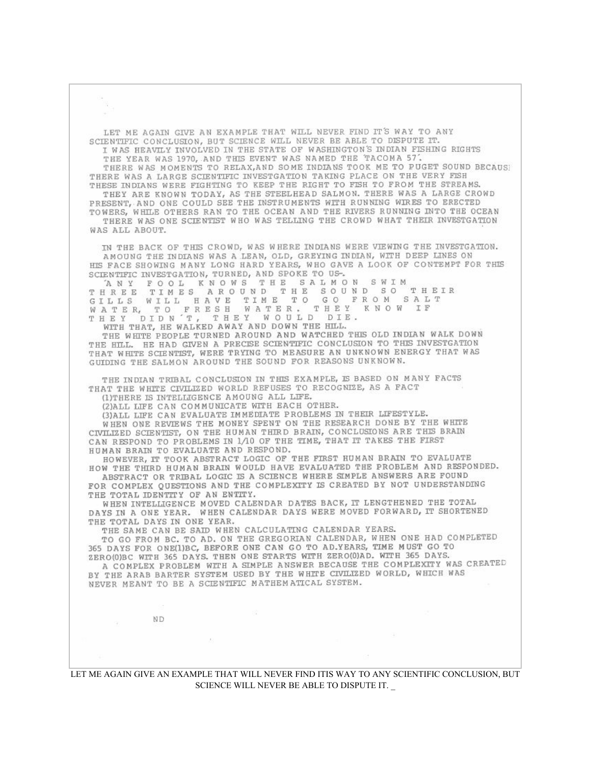LET ME AGAIN GIVE AN EXAMPLE THAT WILL NEVER FIND IT'S WAY TO ANY SCIENTIFIC CONCLUSION, BUT SCIENCE WILL NEVER BE ABLE TO DISPUTE IT. I WAS HEAVILY INVOLVED IN THE STATE OF WASHINGTON'S INDIAN FISHING RIGHTS

THE YEAR WAS 1970, AND THIS EVENT WAS NAMED THE TACOMA 57.

THERE WAS MOMENTS TO RELAX, AND SOME INDIANS TOOK ME TO PUGET SOUND BECAUS! THERE WAS A LARGE SCIENTIFIC INVESTGATION TAKING PLACE ON THE VERY FISH THESE INDIANS WERE FIGHTING TO KEEP THE RIGHT TO FISH TO FROM THE STREAMS. THEY ARE KNOWN TODAY, AS THE STEELHEAD SALMON. THERE WAS A LARGE CROWD PRESENT, AND ONE COULD SEE THE INSTRUMENTS WITH RUNNING WIRES TO ERECTED TOWERS, WHILE OTHERS RAN TO THE OCEAN AND THE RIVERS RUNNING INTO THE OCEAN THERE WAS ONE SCIENTIST WHO WAS TELLING THE CROWD WHAT THEIR INVESTGATION WAS ALL ABOUT.

IN THE BACK OF THIS CROWD, WAS WHERE INDIANS WERE VIEWING THE INVESTGATION. AMOUNG THE INDIANS WAS A LEAN, OLD, GREYING INDIAN, WITH DEEP LINES ON HIS FACE SHOWING MANY LONG HARD YEARS, WHO GAVE A LOOK OF CONTEMPT FOR THIS SCIENTIFIC INVESTGATION, TURNED, AND SPOKE TO US-.

ANY FOOL KNOWS THE SALMON SWIM THREE TIMES AROUND THE SOUND SO THEI<br>GILLS WILL HAVE TIME TO GO FROM SALT<br>WATER, TO FRESH WATER, THEY KNOW IF<br>THEY DIDN'T, THEY WOULD DIE. THEIR WITH THAT, HE WALKED AWAY AND DOWN THE HILL.

THE WHITE PEOPLE TURNED AROUND AND WATCHED THIS OLD INDIAN WALK DOWN THE HILL. HE HAD GIVEN A PRECISE SCIENTIFIC CONCLUSION TO THIS INVESTGATION THAT WHITE SCIENTIST, WERE TRYING TO MEASURE AN UNKNOWN ENERGY THAT WAS GUIDING THE SALMON AROUND THE SOUND FOR REASONS UNKNOWN.

THE INDIAN TRIBAL CONCLUSION IN THIS EXAMPLE, IS BASED ON MANY FACTS THAT THE WHITE CIVILIZED WORLD REFUSES TO RECOGNIZE, AS A FACT

(I)THERE IS INTELLIGENCE AMOUNG ALL LIFE.

(2) ALL LIFE CAN COMMUNICATE WITH EACH OTHER.

(3) ALL LIFE CAN EVALUATE IMMEDIATE PROBLEMS IN THEIR LIFESTYLE. WHEN ONE REVIEWS THE MONEY SPENT ON THE RESEARCH DONE BY THE WHITE CIVILIZED SCIENTIST, ON THE HUMAN THIRD BRAIN, CONCLUSIONS ARE THIS BRAIN CAN RESPOND TO PROBLEMS IN 1/10 OF THE TIME, THAT IT TAKES THE FIRST HUMAN BRAIN TO EVALUATE AND RESPOND.

HOWEVER, IT TOOK ABSTRACT LOGIC OF THE FIRST HUMAN BRAIN TO EVALUATE HOW THE THIRD HUMAN BRAIN WOULD HAVE EVALUATED THE PROBLEM AND RESPONDED.

ABSTRACT OR TRIBAL LOGIC IS A SCIENCE WHERE SIMPLE ANSWERS ARE FOUND FOR COMPLEX QUESTIONS AND THE COMPLEXITY IS CREATED BY NOT UNDERSTANDING THE TOTAL IDENTITY OF AN ENTITY.

WHEN INTELLIGENCE MOVED CALENDAR DATES BACK, IT LENGTHENED THE TOTAL DAYS IN A ONE YEAR. WHEN CALENDAR DAYS WERE MOVED FORWARD, IT SHORTENED THE TOTAL DAYS IN ONE YEAR.

THE SAME CAN BE SAID WHEN CALCULATING CALENDAR YEARS.

TO GO FROM BC. TO AD. ON THE GREGORIAN CALENDAR, WHEN ONE HAD COMPLETED 365 DAYS FOR ONE(1)BC, BEFORE ONE CAN GO TO AD. YEARS, TIME MUST GO TO ZERO(0)BC WITH 365 DAYS. THEN ONE STARTS WITH ZERO(0)AD. WITH 365 DAYS.

A COMPLEX PROBLEM WITH A SIMPLE ANSWER BECAUSE THE COMPLEXITY WAS CREATED BY THE ARAB BARTER SYSTEM USED BY THE WHITE CIVILIZED WORLD, WHICH WAS NEVER MEANT TO BE A SCIENTIFIC MATHEMATICAL SYSTEM.

**ND** 

LET ME AGAIN GIVE AN EXAMPLE THAT WILL NEVER FIND ITIS WAY TO ANY SCIENTIFIC CONCLUSION, BUT SCIENCE WILL NEVER BE ABLE TO DISPUTE IT.